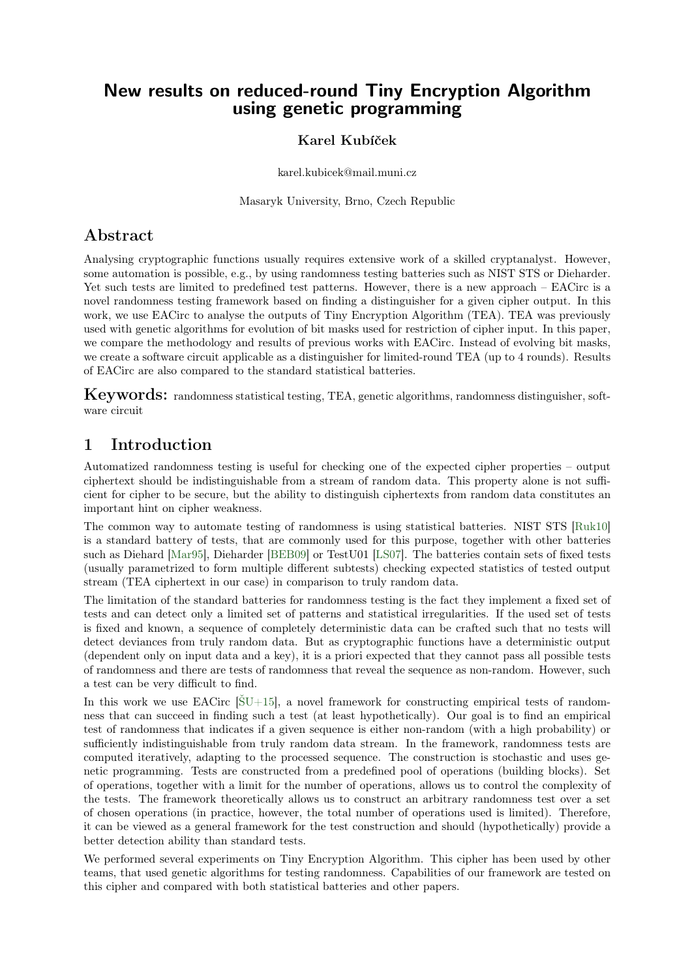## New results on reduced-round Tiny Encryption Algorithm using genetic programming

#### Karel Kubíček

karel.kubicek@mail.muni.cz

Masaryk University, Brno, Czech Republic

## Abstract

Analysing cryptographic functions usually requires extensive work of a skilled cryptanalyst. However, some automation is possible, e.g., by using randomness testing batteries such as NIST STS or Dieharder. Yet such tests are limited to predefined test patterns. However, there is a new approach – EACirc is a novel randomness testing framework based on finding a distinguisher for a given cipher output. In this work, we use EACirc to analyse the outputs of Tiny Encryption Algorithm (TEA). TEA was previously used with genetic algorithms for evolution of bit masks used for restriction of cipher input. In this paper, we compare the methodology and results of previous works with EACirc. Instead of evolving bit masks, we create a software circuit applicable as a distinguisher for limited-round TEA (up to 4 rounds). Results of EACirc are also compared to the standard statistical batteries.

Keywords: randomness statistical testing, TEA, genetic algorithms, randomness distinguisher, software circuit

## <span id="page-0-0"></span>1 Introduction

Automatized randomness testing is useful for checking one of the expected cipher properties – output ciphertext should be indistinguishable from a stream of random data. This property alone is not sufficient for cipher to be secure, but the ability to distinguish ciphertexts from random data constitutes an important hint on cipher weakness.

The common way to automate testing of randomness is using statistical batteries. NIST STS [\[Ruk10\]](#page-7-0) is a standard battery of tests, that are commonly used for this purpose, together with other batteries such as Diehard [\[Mar95\]](#page-7-1), Dieharder [\[BEB09\]](#page-7-2) or TestU01 [\[LS07\]](#page-7-3). The batteries contain sets of fixed tests (usually parametrized to form multiple different subtests) checking expected statistics of tested output stream (TEA ciphertext in our case) in comparison to truly random data.

The limitation of the standard batteries for randomness testing is the fact they implement a fixed set of tests and can detect only a limited set of patterns and statistical irregularities. If the used set of tests is fixed and known, a sequence of completely deterministic data can be crafted such that no tests will detect deviances from truly random data. But as cryptographic functions have a deterministic output (dependent only on input data and a key), it is a priori expected that they cannot pass all possible tests of randomness and there are tests of randomness that reveal the sequence as non-random. However, such a test can be very difficult to find.

In this work we use EACirc  $[\text{SU+15}]$ , a novel framework for constructing empirical tests of randomness that can succeed in finding such a test (at least hypothetically). Our goal is to find an empirical test of randomness that indicates if a given sequence is either non-random (with a high probability) or sufficiently indistinguishable from truly random data stream. In the framework, randomness tests are computed iteratively, adapting to the processed sequence. The construction is stochastic and uses genetic programming. Tests are constructed from a predefined pool of operations (building blocks). Set of operations, together with a limit for the number of operations, allows us to control the complexity of the tests. The framework theoretically allows us to construct an arbitrary randomness test over a set of chosen operations (in practice, however, the total number of operations used is limited). Therefore, it can be viewed as a general framework for the test construction and should (hypothetically) provide a better detection ability than standard tests.

We performed several experiments on Tiny Encryption Algorithm. This cipher has been used by other teams, that used genetic algorithms for testing randomness. Capabilities of our framework are tested on this cipher and compared with both statistical batteries and other papers.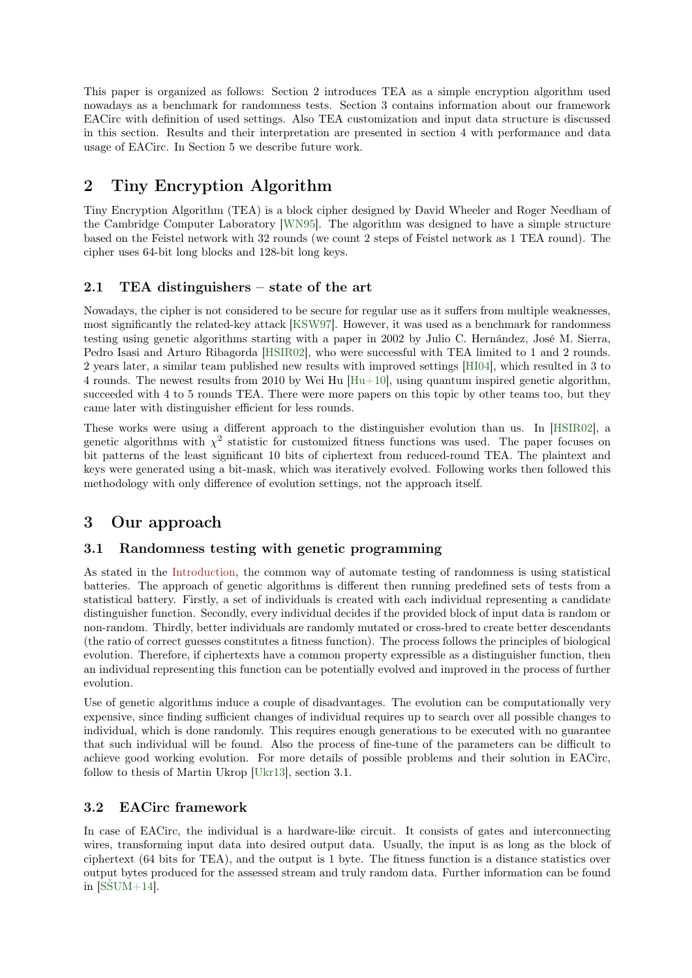This paper is organized as follows: Section 2 introduces TEA as a simple encryption algorithm used nowadays as a benchmark for randomness tests. Section 3 contains information about our framework EACirc with definition of used settings. Also TEA customization and input data structure is discussed in this section. Results and their interpretation are presented in section 4 with performance and data usage of EACirc. In Section 5 we describe future work.

## 2 Tiny Encryption Algorithm

Tiny Encryption Algorithm (TEA) is a block cipher designed by David Wheeler and Roger Needham of the Cambridge Computer Laboratory [\[WN95\]](#page-8-1). The algorithm was designed to have a simple structure based on the Feistel network with 32 rounds (we count 2 steps of Feistel network as 1 TEA round). The cipher uses 64-bit long blocks and 128-bit long keys.

#### <span id="page-1-0"></span>2.1 TEA distinguishers – state of the art

Nowadays, the cipher is not considered to be secure for regular use as it suffers from multiple weaknesses, most significantly the related-key attack [\[KSW97\]](#page-7-4). However, it was used as a benchmark for randomness testing using genetic algorithms starting with a paper in 2002 by Julio C. Hernández, José M. Sierra, Pedro Isasi and Arturo Ribagorda [\[HSIR02\]](#page-7-5), who were successful with TEA limited to 1 and 2 rounds. 2 years later, a similar team published new results with improved settings [\[HI04\]](#page-7-6), which resulted in 3 to 4 rounds. The newest results from 2010 by Wei Hu  $[Hu+10]$ , using quantum inspired genetic algorithm, succeeded with 4 to 5 rounds TEA. There were more papers on this topic by other teams too, but they came later with distinguisher efficient for less rounds.

These works were using a different approach to the distinguisher evolution than us. In [\[HSIR02\]](#page-7-5), a genetic algorithms with  $\chi^2$  statistic for customized fitness functions was used. The paper focuses on bit patterns of the least significant 10 bits of ciphertext from reduced-round TEA. The plaintext and keys were generated using a bit-mask, which was iteratively evolved. Following works then followed this methodology with only difference of evolution settings, not the approach itself.

## 3 Our approach

#### 3.1 Randomness testing with genetic programming

As stated in the [Introduction,](#page-0-0) the common way of automate testing of randomness is using statistical batteries. The approach of genetic algorithms is different then running predefined sets of tests from a statistical battery. Firstly, a set of individuals is created with each individual representing a candidate distinguisher function. Secondly, every individual decides if the provided block of input data is random or non-random. Thirdly, better individuals are randomly mutated or cross-bred to create better descendants (the ratio of correct guesses constitutes a fitness function). The process follows the principles of biological evolution. Therefore, if ciphertexts have a common property expressible as a distinguisher function, then an individual representing this function can be potentially evolved and improved in the process of further evolution.

Use of genetic algorithms induce a couple of disadvantages. The evolution can be computationally very expensive, since finding sufficient changes of individual requires up to search over all possible changes to individual, which is done randomly. This requires enough generations to be executed with no guarantee that such individual will be found. Also the process of fine-tune of the parameters can be difficult to achieve good working evolution. For more details of possible problems and their solution in EACirc, follow to thesis of Martin Ukrop [\[Ukr13\]](#page-7-8), section 3.1.

#### 3.2 EACirc framework

In case of EACirc, the individual is a hardware-like circuit. It consists of gates and interconnecting wires, transforming input data into desired output data. Usually, the input is as long as the block of ciphertext (64 bits for TEA), and the output is 1 byte. The fitness function is a distance statistics over output bytes produced for the assessed stream and truly random data. Further information can be found in  $[S\text{SUM}+14]$ .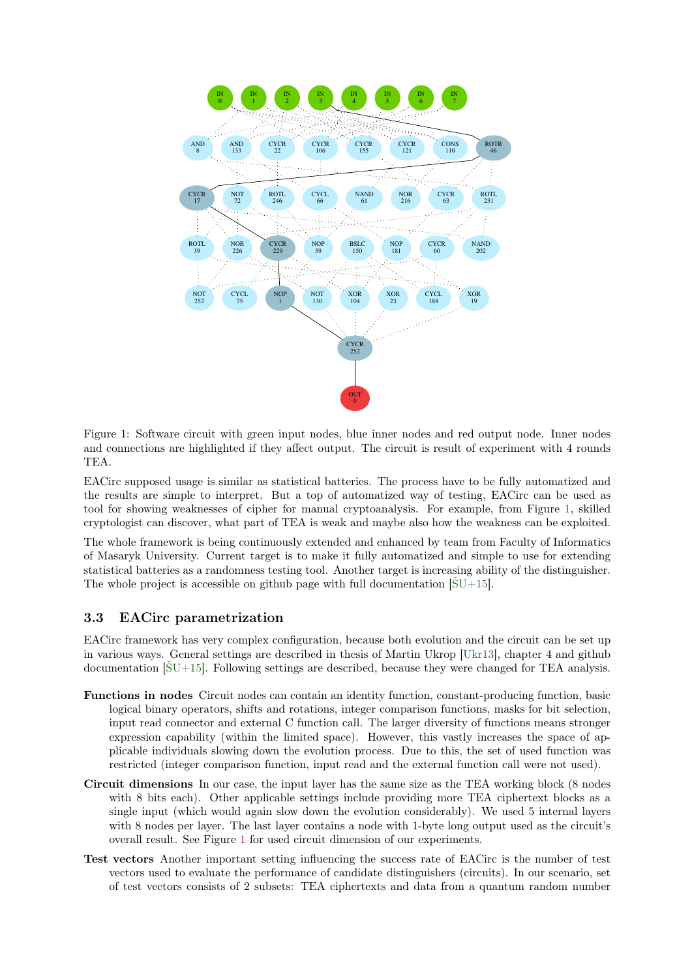

<span id="page-2-0"></span>Figure 1: Software circuit with green input nodes, blue inner nodes and red output node. Inner nodes and connections are highlighted if they affect output. The circuit is result of experiment with 4 rounds TEA.

EACirc supposed usage is similar as statistical batteries. The process have to be fully automatized and the results are simple to interpret. But a top of automatized way of testing, EACirc can be used as tool for showing weaknesses of cipher for manual cryptoanalysis. For example, from Figure [1,](#page-2-0) skilled cryptologist can discover, what part of TEA is weak and maybe also how the weakness can be exploited.

The whole framework is being continuously extended and enhanced by team from Faculty of Informatics of Masaryk University. Current target is to make it fully automatized and simple to use for extending statistical batteries as a randomness testing tool. Another target is increasing ability of the distinguisher. The whole project is accessible on github page with full documentation  $[SU+15]$ .

#### <span id="page-2-1"></span>3.3 EACirc parametrization

EACirc framework has very complex configuration, because both evolution and the circuit can be set up in various ways. General settings are described in thesis of Martin Ukrop [\[Ukr13\]](#page-7-8), chapter 4 and github documentation [\[ŠU+15\]](#page-8-0). Following settings are described, because they were changed for TEA analysis.

- Functions in nodes Circuit nodes can contain an identity function, constant-producing function, basic logical binary operators, shifts and rotations, integer comparison functions, masks for bit selection, input read connector and external C function call. The larger diversity of functions means stronger expression capability (within the limited space). However, this vastly increases the space of applicable individuals slowing down the evolution process. Due to this, the set of used function was restricted (integer comparison function, input read and the external function call were not used).
- Circuit dimensions In our case, the input layer has the same size as the TEA working block (8 nodes with 8 bits each). Other applicable settings include providing more TEA ciphertext blocks as a single input (which would again slow down the evolution considerably). We used 5 internal layers with 8 nodes per layer. The last layer contains a node with 1-byte long output used as the circuit's overall result. See Figure [1](#page-2-0) for used circuit dimension of our experiments.
- Test vectors Another important setting influencing the success rate of EACirc is the number of test vectors used to evaluate the performance of candidate distinguishers (circuits). In our scenario, set of test vectors consists of 2 subsets: TEA ciphertexts and data from a quantum random number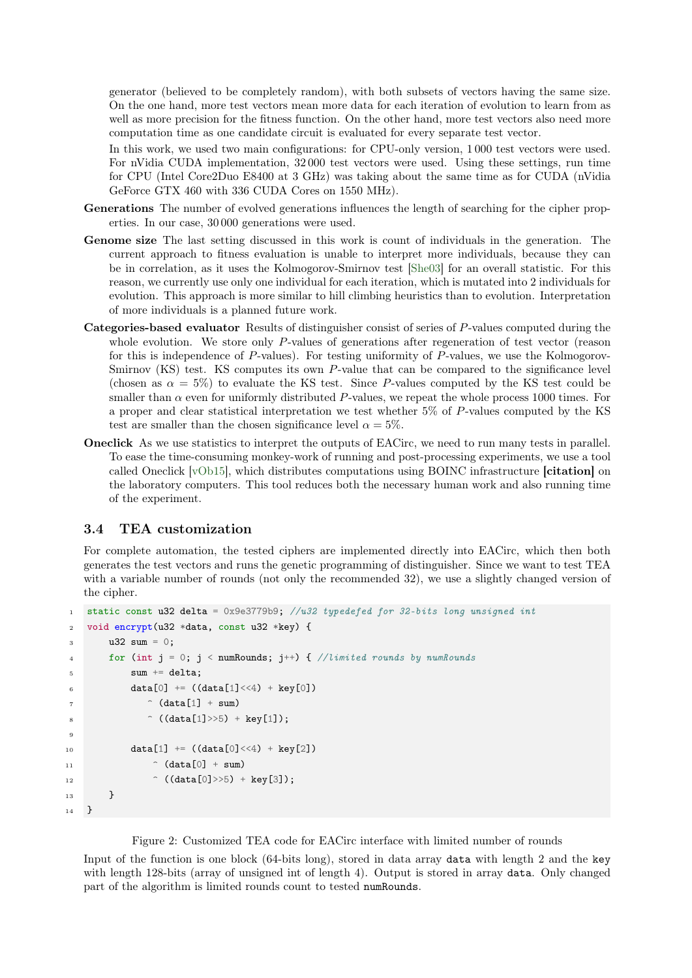generator (believed to be completely random), with both subsets of vectors having the same size. On the one hand, more test vectors mean more data for each iteration of evolution to learn from as well as more precision for the fitness function. On the other hand, more test vectors also need more computation time as one candidate circuit is evaluated for every separate test vector.

In this work, we used two main configurations: for CPU-only version, 1 000 test vectors were used. For nVidia CUDA implementation, 32 000 test vectors were used. Using these settings, run time for CPU (Intel Core2Duo E8400 at 3 GHz) was taking about the same time as for CUDA (nVidia GeForce GTX 460 with 336 CUDA Cores on 1550 MHz).

- Generations The number of evolved generations influences the length of searching for the cipher properties. In our case, 30 000 generations were used.
- Genome size The last setting discussed in this work is count of individuals in the generation. The current approach to fitness evaluation is unable to interpret more individuals, because they can be in correlation, as it uses the Kolmogorov-Smirnov test [\[She03\]](#page-7-10) for an overall statistic. For this reason, we currently use only one individual for each iteration, which is mutated into 2 individuals for evolution. This approach is more similar to hill climbing heuristics than to evolution. Interpretation of more individuals is a planned future work.
- Categories-based evaluator Results of distinguisher consist of series of P-values computed during the whole evolution. We store only P-values of generations after regeneration of test vector (reason for this is independence of P-values). For testing uniformity of P-values, we use the Kolmogorov-Smirnov (KS) test. KS computes its own P-value that can be compared to the significance level (chosen as  $\alpha = 5\%$ ) to evaluate the KS test. Since P-values computed by the KS test could be smaller than  $\alpha$  even for uniformly distributed P-values, we repeat the whole process 1000 times. For a proper and clear statistical interpretation we test whether 5% of P-values computed by the KS test are smaller than the chosen significance level  $\alpha = 5\%$ .
- Oneclick As we use statistics to interpret the outputs of EACirc, we need to run many tests in parallel. To ease the time-consuming monkey-work of running and post-processing experiments, we use a tool called Oneclick [\[vOb15\]](#page-8-2), which distributes computations using BOINC infrastructure [citation] on the laboratory computers. This tool reduces both the necessary human work and also running time of the experiment.

#### 3.4 TEA customization

For complete automation, the tested ciphers are implemented directly into EACirc, which then both generates the test vectors and runs the genetic programming of distinguisher. Since we want to test TEA with a variable number of rounds (not only the recommended 32), we use a slightly changed version of the cipher.

```
1 static const u32 delta = 0x9e3779b9; 1u32 typedefed for 32-bits long unsigned int
2 void encrypt(u32 *data, const u32 *key) {
32 \sin = 0:
4 for (int j = 0; j < numRounds; j^{++}) { //limited rounds by numRounds
5 sum += delta;
6 data[0] += ((data[1]<<4) + key[0])\hat{ } (data[1] + sum)
8 \hat{ } ((data[1]>>5) + key[1]);
\alpha10 data[1] += ((data[0]<<4) + key[2])11 \hat{C} (data[0] + sum)
12 \hat{C} ((data[0]>>5) + key[3]);
13 }
14 \quad \frac{1}{2}
```
Figure 2: Customized TEA code for EACirc interface with limited number of rounds

Input of the function is one block (64-bits long), stored in data array data with length 2 and the key with length 128-bits (array of unsigned int of length 4). Output is stored in array data. Only changed part of the algorithm is limited rounds count to tested numRounds.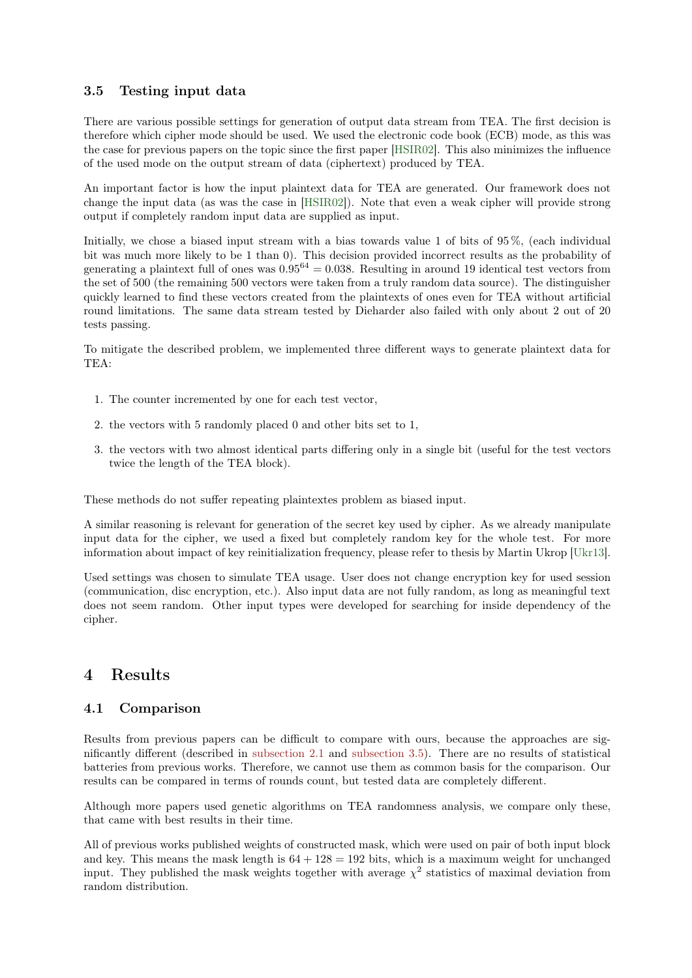#### <span id="page-4-0"></span>3.5 Testing input data

There are various possible settings for generation of output data stream from TEA. The first decision is therefore which cipher mode should be used. We used the electronic code book (ECB) mode, as this was the case for previous papers on the topic since the first paper [\[HSIR02\]](#page-7-5). This also minimizes the influence of the used mode on the output stream of data (ciphertext) produced by TEA.

An important factor is how the input plaintext data for TEA are generated. Our framework does not change the input data (as was the case in [\[HSIR02\]](#page-7-5)). Note that even a weak cipher will provide strong output if completely random input data are supplied as input.

Initially, we chose a biased input stream with a bias towards value 1 of bits of 95 %, (each individual bit was much more likely to be 1 than 0). This decision provided incorrect results as the probability of generating a plaintext full of ones was  $0.95^{64} = 0.038$ . Resulting in around 19 identical test vectors from the set of 500 (the remaining 500 vectors were taken from a truly random data source). The distinguisher quickly learned to find these vectors created from the plaintexts of ones even for TEA without artificial round limitations. The same data stream tested by Dieharder also failed with only about 2 out of 20 tests passing.

To mitigate the described problem, we implemented three different ways to generate plaintext data for TEA:

- 1. The counter incremented by one for each test vector,
- 2. the vectors with 5 randomly placed 0 and other bits set to 1,
- 3. the vectors with two almost identical parts differing only in a single bit (useful for the test vectors twice the length of the TEA block).

These methods do not suffer repeating plaintextes problem as biased input.

A similar reasoning is relevant for generation of the secret key used by cipher. As we already manipulate input data for the cipher, we used a fixed but completely random key for the whole test. For more information about impact of key reinitialization frequency, please refer to thesis by Martin Ukrop [\[Ukr13\]](#page-7-8).

Used settings was chosen to simulate TEA usage. User does not change encryption key for used session (communication, disc encryption, etc.). Also input data are not fully random, as long as meaningful text does not seem random. Other input types were developed for searching for inside dependency of the cipher.

### 4 Results

#### 4.1 Comparison

Results from previous papers can be difficult to compare with ours, because the approaches are significantly different (described in [subsection 2.1](#page-1-0) and [subsection 3.5\)](#page-4-0). There are no results of statistical batteries from previous works. Therefore, we cannot use them as common basis for the comparison. Our results can be compared in terms of rounds count, but tested data are completely different.

Although more papers used genetic algorithms on TEA randomness analysis, we compare only these, that came with best results in their time.

All of previous works published weights of constructed mask, which were used on pair of both input block and key. This means the mask length is  $64 + 128 = 192$  bits, which is a maximum weight for unchanged input. They published the mask weights together with average  $\chi^2$  statistics of maximal deviation from random distribution.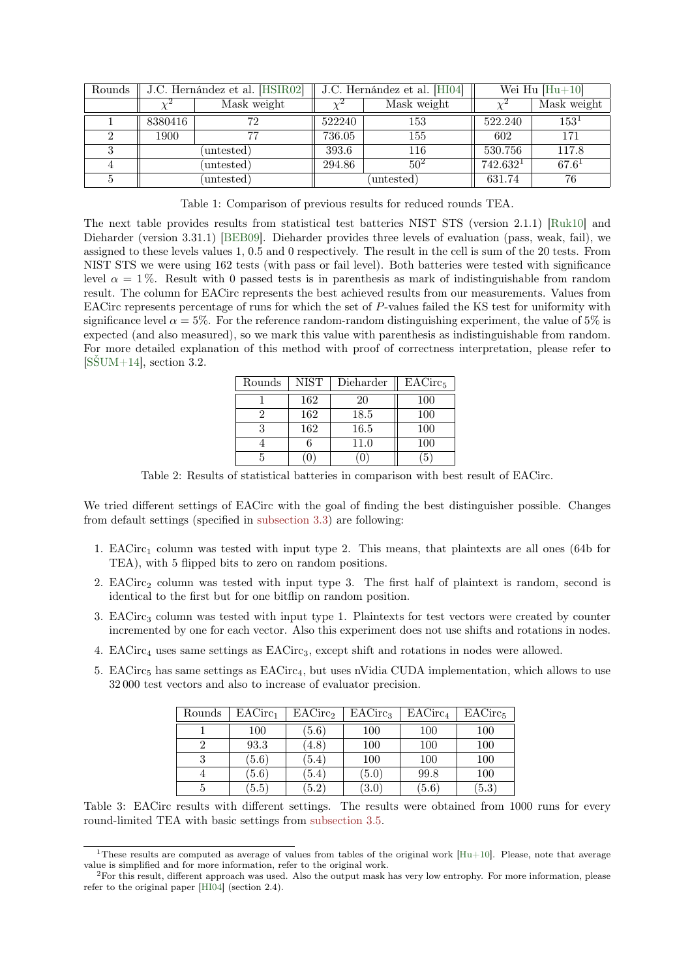| Rounds | J.C. Hernández et al. [HSIR02] |             | J.C. Hernández et al. [HI04] |                 | Wei Hu $[Hu+10]$     |             |
|--------|--------------------------------|-------------|------------------------------|-----------------|----------------------|-------------|
|        |                                | Mask weight |                              | Mask weight     |                      | Mask weight |
|        | 8380416                        | 72          | 522240                       | 153             | 522.240              | $153^{1}$   |
|        | 1900                           | 77          | 736.05                       | 155             | 602                  | 171         |
|        | (untested)                     |             | 393.6                        | 116             | 530.756              | 117.8       |
|        | (untested)                     |             | 294.86                       | 50 <sup>2</sup> | 742.632 <sup>1</sup> | $67.6^{1}$  |
|        | (untested)                     |             | untested)                    |                 | 631.74               | 76          |

Table 1: Comparison of previous results for reduced rounds TEA.

The next table provides results from statistical test batteries NIST STS (version 2.1.1) [\[Ruk10\]](#page-7-0) and Dieharder (version 3.31.1) [\[BEB09\]](#page-7-2). Dieharder provides three levels of evaluation (pass, weak, fail), we assigned to these levels values 1, 0.5 and 0 respectively. The result in the cell is sum of the 20 tests. From NIST STS we were using 162 tests (with pass or fail level). Both batteries were tested with significance level  $\alpha = 1\%$ . Result with 0 passed tests is in parenthesis as mark of indistinguishable from random result. The column for EACirc represents the best achieved results from our measurements. Values from EACirc represents percentage of runs for which the set of P-values failed the KS test for uniformity with significance level  $\alpha = 5\%$ . For the reference random-random distinguishing experiment, the value of 5% is expected (and also measured), so we mark this value with parenthesis as indistinguishable from random. For more detailed explanation of this method with proof of correctness interpretation, please refer to  $[SSUM+14]$ , section 3.2.

| Rounds | <b>NIST</b> | Dieharder | EACirc <sub>5</sub> |
|--------|-------------|-----------|---------------------|
|        | 162         | 20        | 100                 |
|        | 162         | 18.5      | 100                 |
| 3      | 162         | 16.5      | 100                 |
|        |             | 11.0      | 100                 |
| 5      |             |           |                     |

Table 2: Results of statistical batteries in comparison with best result of EACirc.

We tried different settings of EACirc with the goal of finding the best distinguisher possible. Changes from default settings (specified in [subsection 3.3\)](#page-2-1) are following:

- 1. EACirc<sup>1</sup> column was tested with input type 2. This means, that plaintexts are all ones (64b for TEA), with 5 flipped bits to zero on random positions.
- 2. EACirc<sub>2</sub> column was tested with input type 3. The first half of plaintext is random, second is identical to the first but for one bitflip on random position.
- 3. EACirc<sub>3</sub> column was tested with input type 1. Plaintexts for test vectors were created by counter incremented by one for each vector. Also this experiment does not use shifts and rotations in nodes.
- 4. EACirc<sup>4</sup> uses same settings as EACirc3, except shift and rotations in nodes were allowed.
- 5. EACirc<sub>5</sub> has same settings as EACirc<sub>4</sub>, but uses nVidia CUDA implementation, which allows to use 32 000 test vectors and also to increase of evaluator precision.

| Rounds | EACirc <sub>1</sub> | EACirc <sub>2</sub> | EACirc <sub>3</sub> | EACirc <sub>4</sub> | EACirc <sub>5</sub> |
|--------|---------------------|---------------------|---------------------|---------------------|---------------------|
|        | 100                 | (5.6)               | 100                 | 100                 | 100                 |
| 2      | 93.3                | (4.8)               | 100                 | 100                 | 100                 |
| 3      | (5.6)               | (5.4)               | 100                 | 100                 | 100                 |
|        | (5.6)               | (5.4)               | (5.0)               | 99.8                | 100                 |
| 5.     | (5.5)               | (5.2)               | (3.0)               | (5.6)               | (5.3)               |

Table 3: EACirc results with different settings. The results were obtained from 1000 runs for every round-limited TEA with basic settings from [subsection 3.5.](#page-4-0)

<sup>&</sup>lt;sup>1</sup>These results are computed as average of values from tables of the original work  $[Hu+10]$ . Please, note that average value is simplified and for more information, refer to the original work.

<sup>2</sup>For this result, different approach was used. Also the output mask has very low entrophy. For more information, please refer to the original paper [\[HI04\]](#page-7-6) (section 2.4).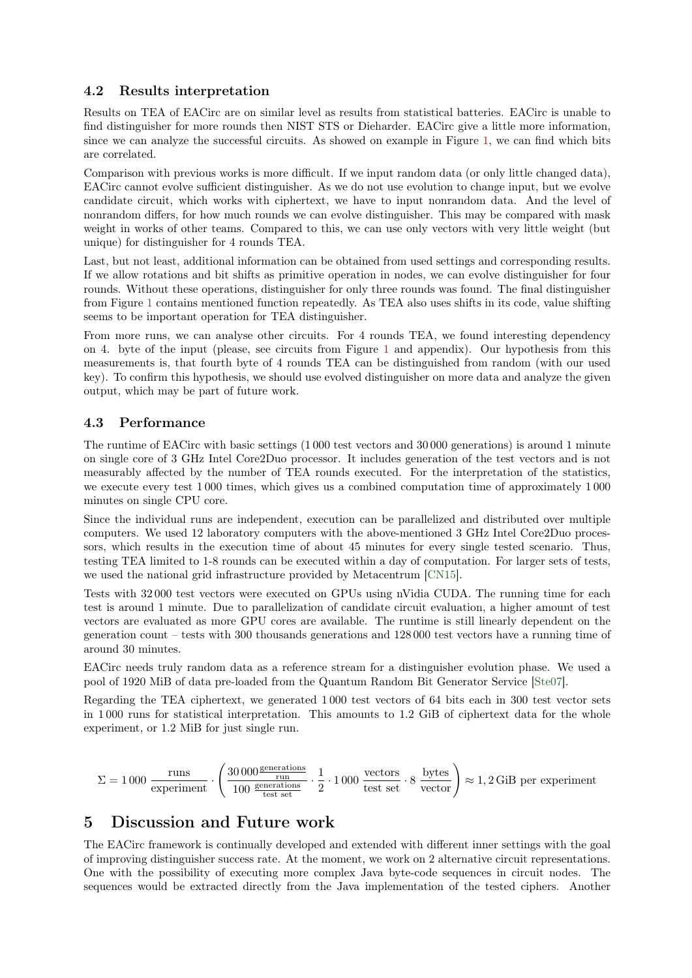#### 4.2 Results interpretation

Results on TEA of EACirc are on similar level as results from statistical batteries. EACirc is unable to find distinguisher for more rounds then NIST STS or Dieharder. EACirc give a little more information, since we can analyze the successful circuits. As showed on example in Figure [1,](#page-2-0) we can find which bits are correlated.

Comparison with previous works is more difficult. If we input random data (or only little changed data), EACirc cannot evolve sufficient distinguisher. As we do not use evolution to change input, but we evolve candidate circuit, which works with ciphertext, we have to input nonrandom data. And the level of nonrandom differs, for how much rounds we can evolve distinguisher. This may be compared with mask weight in works of other teams. Compared to this, we can use only vectors with very little weight (but unique) for distinguisher for 4 rounds TEA.

Last, but not least, additional information can be obtained from used settings and corresponding results. If we allow rotations and bit shifts as primitive operation in nodes, we can evolve distinguisher for four rounds. Without these operations, distinguisher for only three rounds was found. The final distinguisher from Figure [1](#page-2-0) contains mentioned function repeatedly. As TEA also uses shifts in its code, value shifting seems to be important operation for TEA distinguisher.

From more runs, we can analyse other circuits. For 4 rounds TEA, we found interesting dependency on 4. byte of the input (please, see circuits from Figure [1](#page-2-0) and appendix). Our hypothesis from this measurements is, that fourth byte of 4 rounds TEA can be distinguished from random (with our used key). To confirm this hypothesis, we should use evolved distinguisher on more data and analyze the given output, which may be part of future work.

#### 4.3 Performance

The runtime of EACirc with basic settings (1 000 test vectors and 30 000 generations) is around 1 minute on single core of 3 GHz Intel Core2Duo processor. It includes generation of the test vectors and is not measurably affected by the number of TEA rounds executed. For the interpretation of the statistics, we execute every test 1 000 times, which gives us a combined computation time of approximately 1 000 minutes on single CPU core.

Since the individual runs are independent, execution can be parallelized and distributed over multiple computers. We used 12 laboratory computers with the above-mentioned 3 GHz Intel Core2Duo processors, which results in the execution time of about 45 minutes for every single tested scenario. Thus, testing TEA limited to 1-8 rounds can be executed within a day of computation. For larger sets of tests, we used the national grid infrastructure provided by Metacentrum [\[CN15\]](#page-7-11).

Tests with 32 000 test vectors were executed on GPUs using nVidia CUDA. The running time for each test is around 1 minute. Due to parallelization of candidate circuit evaluation, a higher amount of test vectors are evaluated as more GPU cores are available. The runtime is still linearly dependent on the generation count – tests with 300 thousands generations and 128 000 test vectors have a running time of around 30 minutes.

EACirc needs truly random data as a reference stream for a distinguisher evolution phase. We used a pool of 1920 MiB of data pre-loaded from the Quantum Random Bit Generator Service [\[Ste07\]](#page-7-12).

Regarding the TEA ciphertext, we generated 1 000 test vectors of 64 bits each in 300 test vector sets in 1 000 runs for statistical interpretation. This amounts to 1.2 GiB of ciphertext data for the whole experiment, or 1.2 MiB for just single run.

$$
\Sigma = 1\,000\,\, \frac{\mathrm{runs}}{\mathrm{experiment}} \cdot \left(\frac{30\,000\frac{\mathrm{generations}}{\mathrm{run}}}{100\,\, \frac{\mathrm{generations}}{\mathrm{test\,\,set}}}\,\cdot \frac{1}{2}\cdot 1\,000\,\, \frac{\mathrm{vectors}}{\mathrm{test\,\,set}}\cdot 8\,\, \frac{\mathrm{bytes}}{\mathrm{vector}}\right) \approx 1,2\,\mathrm{GiB\,\,per\,\,experiment}
$$

## 5 Discussion and Future work

The EACirc framework is continually developed and extended with different inner settings with the goal of improving distinguisher success rate. At the moment, we work on 2 alternative circuit representations. One with the possibility of executing more complex Java byte-code sequences in circuit nodes. The sequences would be extracted directly from the Java implementation of the tested ciphers. Another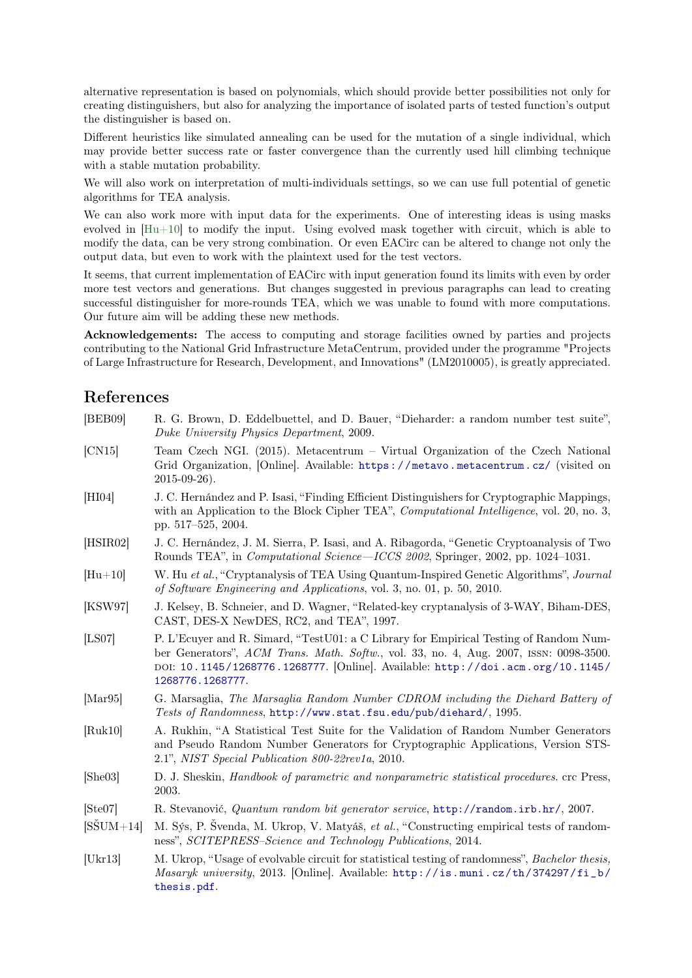alternative representation is based on polynomials, which should provide better possibilities not only for creating distinguishers, but also for analyzing the importance of isolated parts of tested function's output the distinguisher is based on.

Different heuristics like simulated annealing can be used for the mutation of a single individual, which may provide better success rate or faster convergence than the currently used hill climbing technique with a stable mutation probability.

We will also work on interpretation of multi-individuals settings, so we can use full potential of genetic algorithms for TEA analysis.

We can also work more with input data for the experiments. One of interesting ideas is using masks evolved in [\[Hu+10\]](#page-7-7) to modify the input. Using evolved mask together with circuit, which is able to modify the data, can be very strong combination. Or even EACirc can be altered to change not only the output data, but even to work with the plaintext used for the test vectors.

It seems, that current implementation of EACirc with input generation found its limits with even by order more test vectors and generations. But changes suggested in previous paragraphs can lead to creating successful distinguisher for more-rounds TEA, which we was unable to found with more computations. Our future aim will be adding these new methods.

Acknowledgements: The access to computing and storage facilities owned by parties and projects contributing to the National Grid Infrastructure MetaCentrum, provided under the programme "Projects of Large Infrastructure for Research, Development, and Innovations" (LM2010005), is greatly appreciated.

### References

<span id="page-7-12"></span><span id="page-7-11"></span><span id="page-7-10"></span><span id="page-7-9"></span><span id="page-7-8"></span><span id="page-7-7"></span><span id="page-7-6"></span><span id="page-7-5"></span><span id="page-7-4"></span><span id="page-7-3"></span><span id="page-7-2"></span><span id="page-7-1"></span><span id="page-7-0"></span>

| [BEB09]            | R. G. Brown, D. Eddelbuettel, and D. Bauer, "Dieharder: a random number test suite",<br>Duke University Physics Department, 2009.                                                                                                                                                    |
|--------------------|--------------------------------------------------------------------------------------------------------------------------------------------------------------------------------------------------------------------------------------------------------------------------------------|
| CN15               | Team Czech NGI. (2015). Metacentrum – Virtual Organization of the Czech National<br>Grid Organization, [Online]. Available: https://metavo.metacentrum.cz/ (visited on<br>$2015 - 09 - 26$ ).                                                                                        |
| [H I 04]           | J. C. Hernández and P. Isasi, "Finding Efficient Distinguishers for Cryptographic Mappings,<br>with an Application to the Block Cipher TEA", <i>Computational Intelligence</i> , vol. 20, no. 3,<br>pp. 517-525, 2004.                                                               |
| [HSIR02]           | J. C. Hernández, J. M. Sierra, P. Isasi, and A. Ribagorda, "Genetic Cryptoanalysis of Two<br>Rounds TEA", in Computational Science-ICCS 2002, Springer, 2002, pp. 1024-1031.                                                                                                         |
| $[Hu+10]$          | W. Hu et al., "Cryptanalysis of TEA Using Quantum-Inspired Genetic Algorithms", Journal<br>of Software Engineering and Applications, vol. 3, no. 01, p. 50, 2010.                                                                                                                    |
| [KSW97]            | J. Kelsey, B. Schneier, and D. Wagner, "Related-key cryptanalysis of 3-WAY, Biham-DES,<br>CAST, DES-X NewDES, RC2, and TEA", 1997.                                                                                                                                                   |
| [LS07]             | P. L'Ecuyer and R. Simard, "TestU01: a C Library for Empirical Testing of Random Num-<br>ber Generators", ACM Trans. Math. Softw., vol. 33, no. 4, Aug. 2007, ISSN: 0098-3500.<br>DOI: 10.1145/1268776.1268777. [Online]. Available: http://doi.acm.org/10.1145/<br>1268776.1268777. |
| [Mar95]            | G. Marsaglia, The Marsaglia Random Number CDROM including the Diehard Battery of<br>Tests of Randomness, http://www.stat.fsu.edu/pub/diehard/, 1995.                                                                                                                                 |
| [Ruk10]            | A. Rukhin, "A Statistical Test Suite for the Validation of Random Number Generators<br>and Pseudo Random Number Generators for Cryptographic Applications, Version STS-<br>2.1", NIST Special Publication 800-22rev1a, 2010.                                                         |
| [She03]            | D. J. Sheskin, <i>Handbook of parametric and nonparametric statistical procedures</i> . crc Press,<br>2003.                                                                                                                                                                          |
| [Ste07]            | R. Stevanović, Quantum random bit generator service, http://random.irb.hr/, 2007.                                                                                                                                                                                                    |
| $[S\text{SUM}+14]$ | M. Sýs, P. Svenda, M. Ukrop, V. Matyáš, et al., "Constructing empirical tests of random-<br>ness", SCITEPRESS-Science and Technology Publications, 2014.                                                                                                                             |
| [Ukr13]            | M. Ukrop, "Usage of evolvable circuit for statistical testing of randomness", <i>Bachelor thesis</i> ,<br><i>Masaryk university</i> , 2013. [Online]. Available: http://is.muni.cz/th/374297/fi_b/<br>thesis.pdf.                                                                    |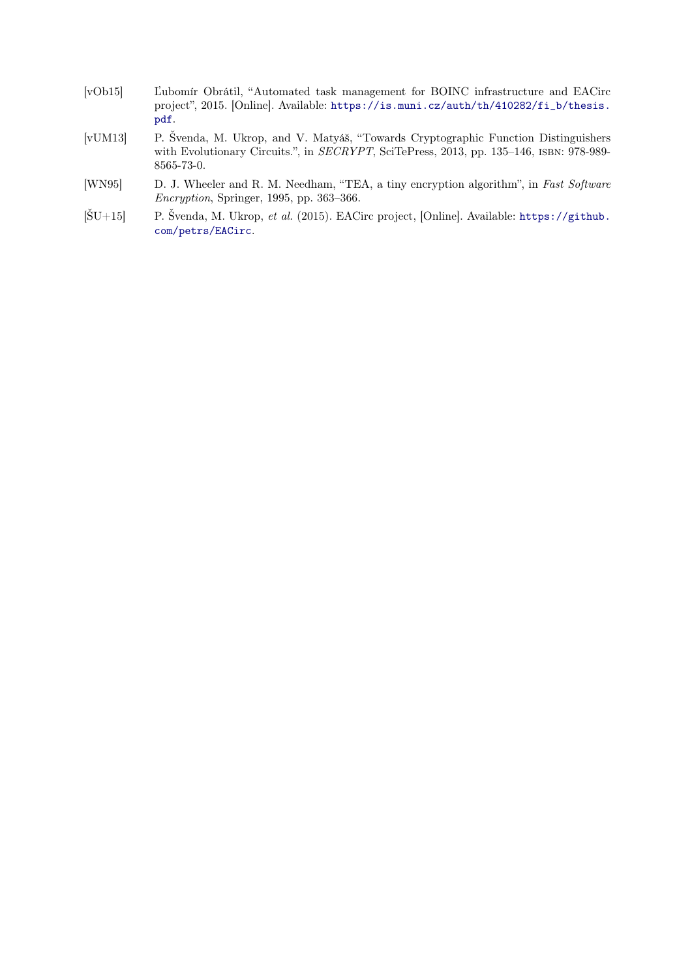- <span id="page-8-2"></span>[vOb15] Ľubomír Obrátil, "Automated task management for BOINC infrastructure and EACirc project", 2015. [Online]. Available: [https://is.muni.cz/auth/th/410282/fi\\_b/thesis.](https://is.muni.cz/auth/th/410282/fi_b/thesis.pdf) [pdf](https://is.muni.cz/auth/th/410282/fi_b/thesis.pdf).
- [vUM13] P. Švenda, M. Ukrop, and V. Matyáš, "Towards Cryptographic Function Distinguishers with Evolutionary Circuits.", in SECRYPT, SciTePress, 2013, pp. 135-146, ISBN: 978-989-8565-73-0.
- <span id="page-8-1"></span>[WN95] D. J. Wheeler and R. M. Needham, "TEA, a tiny encryption algorithm", in Fast Software Encryption, Springer, 1995, pp. 363–366.
- <span id="page-8-0"></span> $[\text{SU}+15]$  P. Švenda, M. Ukrop, et al. (2015). EACirc project, [Online]. Available: [https://github.](https://github.com/petrs/EACirc) [com/petrs/EACirc](https://github.com/petrs/EACirc).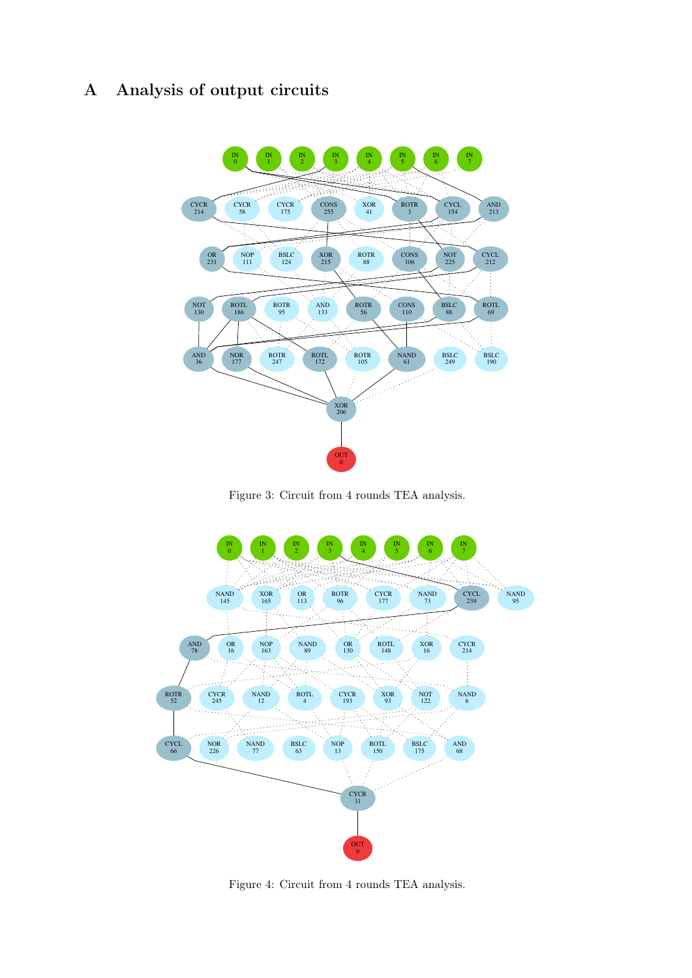# A Analysis of output circuits



Figure 3: Circuit from 4 rounds TEA analysis.



Figure 4: Circuit from 4 rounds TEA analysis.